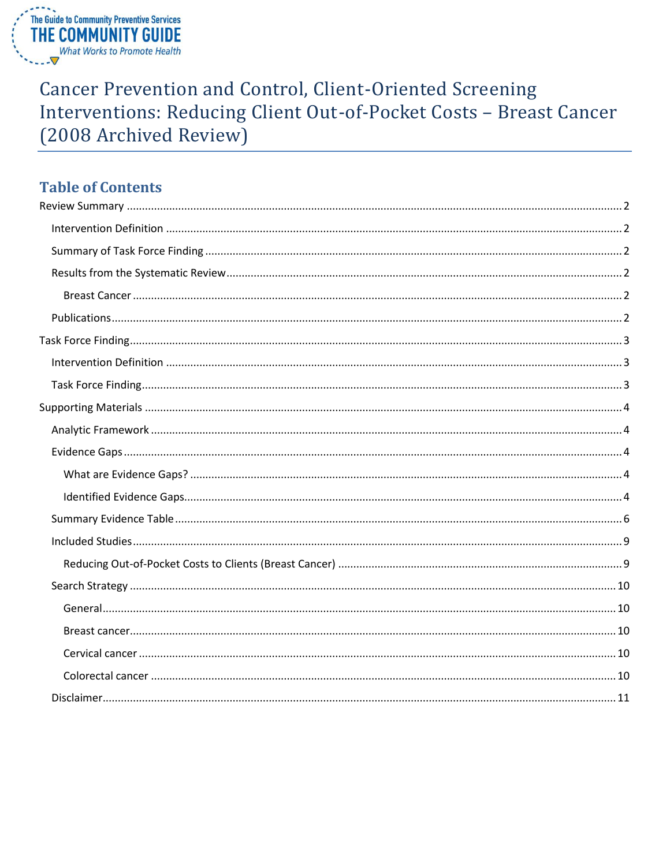

# **Cancer Prevention and Control, Client-Oriented Screening** Interventions: Reducing Client Out-of-Pocket Costs - Breast Cancer (2008 Archived Review)

# **Table of Contents**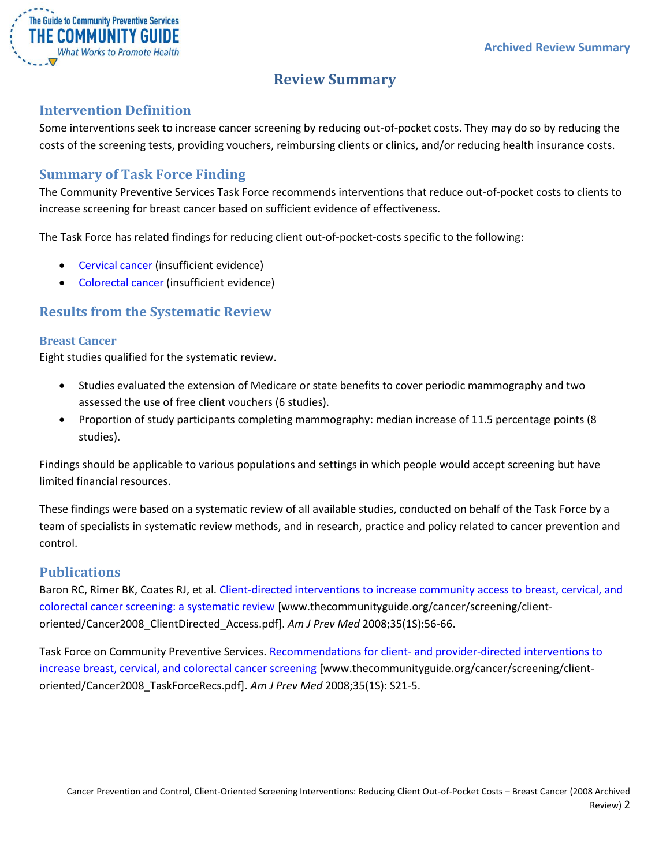

# **Review Summary**

### <span id="page-1-1"></span><span id="page-1-0"></span>**Intervention Definition**

Some interventions seek to increase cancer screening by reducing out-of-pocket costs. They may do so by reducing the costs of the screening tests, providing vouchers, reimbursing clients or clinics, and/or reducing health insurance costs.

### <span id="page-1-2"></span>**Summary of Task Force Finding**

The Community Preventive Services Task Force recommends interventions that reduce out-of-pocket costs to clients to increase screening for breast cancer based on sufficient evidence of effectiveness.

The Task Force has related findings for reducing client out-of-pocket-costs specific to the following:

- [Cervical cancer](/sites/default/files/Cancer-Screening-Client-Reducing-Out-of-Pocket-Costs-Archive-Cervical.pdf) (insufficient evidence)
- [Colorectal cancer](/sites/default/files/Cancer-Screening-Client-Reducing-Out-of-Pocket-Costs-Archive-Colorectal.pdf) (insufficient evidence)

### <span id="page-1-3"></span>**Results from the Systematic Review**

#### <span id="page-1-4"></span>**Breast Cancer**

Eight studies qualified for the systematic review.

- Studies evaluated the extension of Medicare or state benefits to cover periodic mammography and two assessed the use of free client vouchers (6 studies).
- Proportion of study participants completing mammography: median increase of 11.5 percentage points (8 studies).

Findings should be applicable to various populations and settings in which people would accept screening but have limited financial resources.

These findings were based on a systematic review of all available studies, conducted on behalf of the Task Force by a team of specialists in systematic review methods, and in research, practice and policy related to cancer prevention and control.

### <span id="page-1-5"></span>**Publications**

Baron RC, Rimer BK, Coates RJ, et al[. Client-directed interventions to increase community access to breast, cervical, and](http://www.thecommunityguide.org/cancer/screening/client-oriented/Cancer2008_ClientDirected_Access.pdf)  [colorectal cancer screening: a systematic review](http://www.thecommunityguide.org/cancer/screening/client-oriented/Cancer2008_ClientDirected_Access.pdf) [www.thecommunityguide.org/cancer/screening/clientoriented/Cancer2008\_ClientDirected\_Access.pdf]. *Am J Prev Med* 2008;35(1S):56-66.

Task Force on Community Preventive Services. Recommendations for client- [and provider-directed interventions to](http://www.thecommunityguide.org/cancer/screening/client-oriented/Cancer2008_TaskForceRecs.pdf)  [increase breast, cervical, and colorectal cancer screening](http://www.thecommunityguide.org/cancer/screening/client-oriented/Cancer2008_TaskForceRecs.pdf) [www.thecommunityguide.org/cancer/screening/clientoriented/Cancer2008\_TaskForceRecs.pdf]. *Am J Prev Med* 2008;35(1S): S21-5.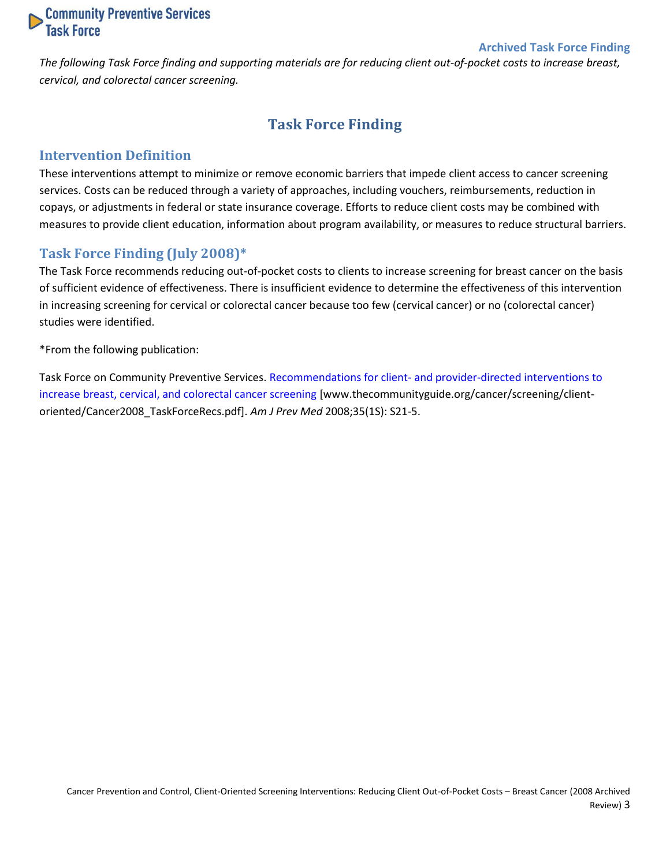

#### **Archived Task Force Finding**

<span id="page-2-0"></span>*The following Task Force finding and supporting materials are for reducing client out-of-pocket costs to increase breast, cervical, and colorectal cancer screening.*

# **Task Force Finding**

#### <span id="page-2-1"></span>**Intervention Definition**

These interventions attempt to minimize or remove economic barriers that impede client access to cancer screening services. Costs can be reduced through a variety of approaches, including vouchers, reimbursements, reduction in copays, or adjustments in federal or state insurance coverage. Efforts to reduce client costs may be combined with measures to provide client education, information about program availability, or measures to reduce structural barriers.

#### <span id="page-2-2"></span>**Task Force Finding (July 2008)\***

The Task Force recommends reducing out-of-pocket costs to clients to increase screening for breast cancer on the basis of sufficient evidence of effectiveness. There is insufficient evidence to determine the effectiveness of this intervention in increasing screening for cervical or colorectal cancer because too few (cervical cancer) or no (colorectal cancer) studies were identified.

\*From the following publication:

Task Force on Community Preventive Services. Recommendations for client- [and provider-directed interventions to](http://www.thecommunityguide.org/cancer/screening/client-oriented/Cancer2008_TaskForceRecs.pdf)  [increase breast, cervical, and colorectal cancer screening](http://www.thecommunityguide.org/cancer/screening/client-oriented/Cancer2008_TaskForceRecs.pdf) [www.thecommunityguide.org/cancer/screening/clientoriented/Cancer2008\_TaskForceRecs.pdf]. *Am J Prev Med* 2008;35(1S): S21-5.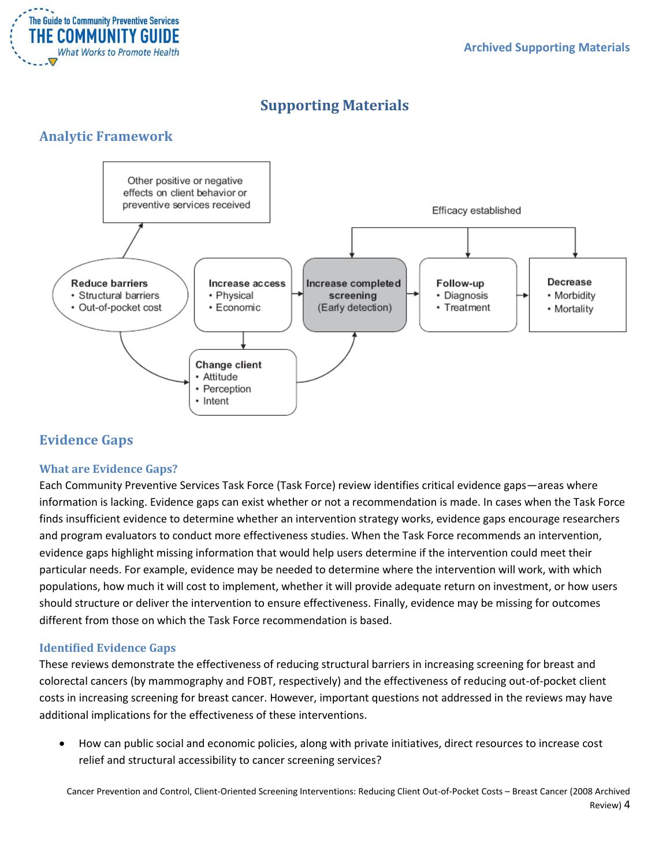

# **Supporting Materials**

### <span id="page-3-1"></span><span id="page-3-0"></span>**Analytic Framework**



# <span id="page-3-2"></span>**Evidence Gaps**

### <span id="page-3-3"></span>**What are Evidence Gaps?**

Each Community Preventive Services Task Force (Task Force) review identifies critical evidence gaps—areas where information is lacking. Evidence gaps can exist whether or not a recommendation is made. In cases when the Task Force finds insufficient evidence to determine whether an intervention strategy works, evidence gaps encourage researchers and program evaluators to conduct more effectiveness studies. When the Task Force recommends an intervention, evidence gaps highlight missing information that would help users determine if the intervention could meet their particular needs. For example, evidence may be needed to determine where the intervention will work, with which populations, how much it will cost to implement, whether it will provide adequate return on investment, or how users should structure or deliver the intervention to ensure effectiveness. Finally, evidence may be missing for outcomes different from those on which the Task Force recommendation is based.

### <span id="page-3-4"></span>**Identified Evidence Gaps**

These reviews demonstrate the effectiveness of reducing structural barriers in increasing screening for breast and colorectal cancers (by mammography and FOBT, respectively) and the effectiveness of reducing out-of-pocket client costs in increasing screening for breast cancer. However, important questions not addressed in the reviews may have additional implications for the effectiveness of these interventions.

 How can public social and economic policies, along with private initiatives, direct resources to increase cost relief and structural accessibility to cancer screening services?

Cancer Prevention and Control, Client-Oriented Screening Interventions: Reducing Client Out-of-Pocket Costs – Breast Cancer (2008 Archived Review) 4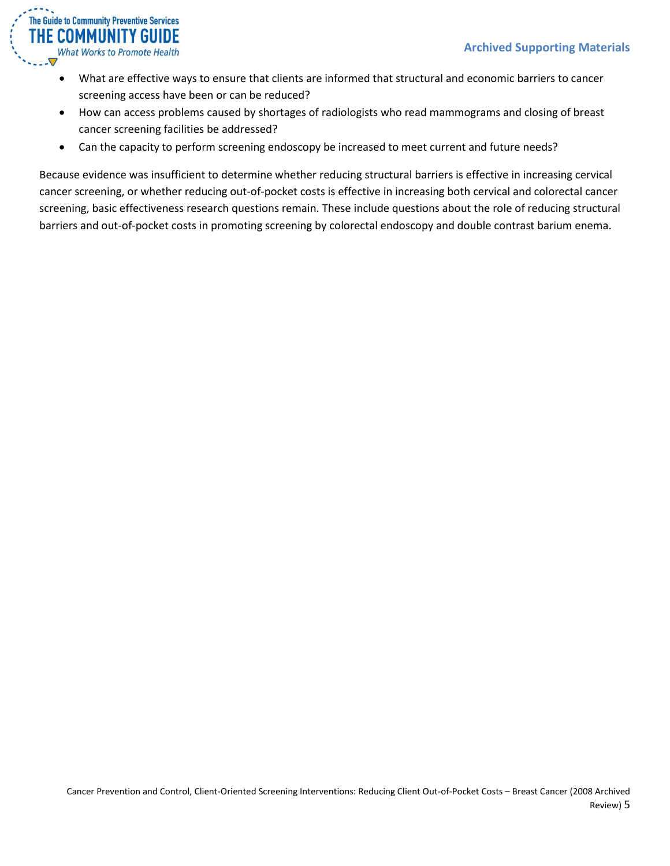

- What are effective ways to ensure that clients are informed that structural and economic barriers to cancer screening access have been or can be reduced?
- How can access problems caused by shortages of radiologists who read mammograms and closing of breast cancer screening facilities be addressed?
- Can the capacity to perform screening endoscopy be increased to meet current and future needs?

Because evidence was insufficient to determine whether reducing structural barriers is effective in increasing cervical cancer screening, or whether reducing out-of-pocket costs is effective in increasing both cervical and colorectal cancer screening, basic effectiveness research questions remain. These include questions about the role of reducing structural barriers and out-of-pocket costs in promoting screening by colorectal endoscopy and double contrast barium enema.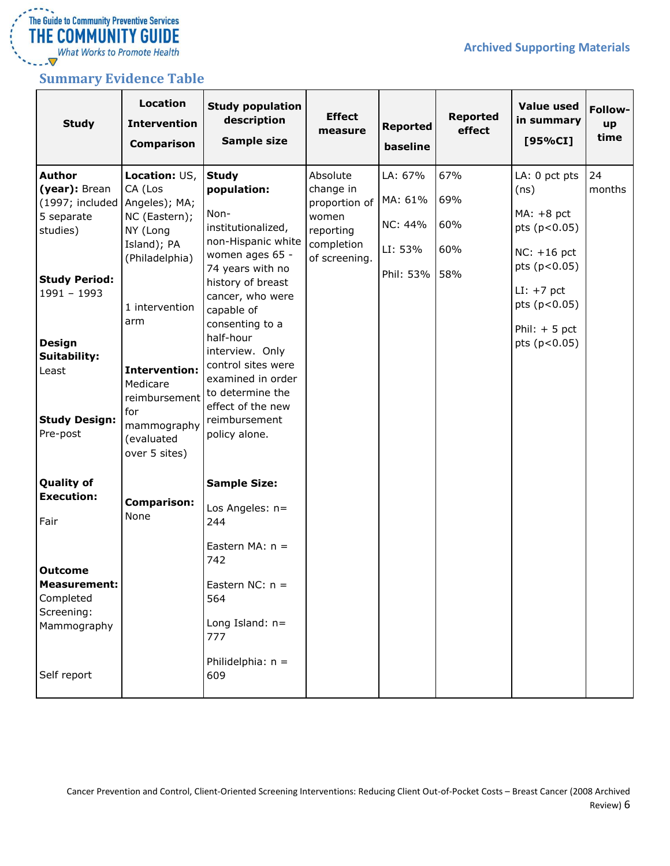

I **FILE COPPIPIONT I T GUIDE**<br>What Works to Promote Health<br>---▼

### <span id="page-5-0"></span>**Summary Evidence Table**

| <b>Study</b>                                                                              | <b>Location</b><br><b>Intervention</b><br><b>Comparison</b>                            | <b>Study population</b><br>description<br>Sample size                                                                | <b>Effect</b><br>measure                                                                    | <b>Reported</b><br>baseline              | <b>Reported</b><br>effect | <b>Value used</b><br>in summary<br>[95%CI]                             | Follow-<br>up<br>time |
|-------------------------------------------------------------------------------------------|----------------------------------------------------------------------------------------|----------------------------------------------------------------------------------------------------------------------|---------------------------------------------------------------------------------------------|------------------------------------------|---------------------------|------------------------------------------------------------------------|-----------------------|
| <b>Author</b><br>(year): Brean<br>(1997; included Angeles); MA;<br>5 separate<br>studies) | Location: US,<br>CA (Los<br>NC (Eastern);<br>NY (Long<br>Island); PA<br>(Philadelphia) | <b>Study</b><br>population:<br>Non-<br>institutionalized,<br>non-Hispanic white<br>women ages 65 -                   | Absolute<br>change in<br>proportion of<br>women<br>reporting<br>completion<br>of screening. | LA: 67%<br>MA: 61%<br>NC: 44%<br>LI: 53% | 67%<br>69%<br>60%<br>60%  | LA: 0 pct pts<br>(ns)<br>$MA: +8$ pct<br>pts (p<0.05)<br>$NC: +16$ pct | 24<br>months          |
| <b>Study Period:</b><br>$1991 - 1993$                                                     | 1 intervention<br>arm                                                                  | 74 years with no<br>history of breast<br>cancer, who were<br>capable of<br>consenting to a<br>half-hour              |                                                                                             | Phil: 53% 58%                            |                           | pts (p<0.05)<br>$LI: +7$ pct<br>pts (p<0.05)<br>Phil: $+5$ pct         |                       |
| <b>Design</b><br><b>Suitability:</b><br>Least<br><b>Study Design:</b>                     | <b>Intervention:</b><br>Medicare<br>reimbursement<br>for                               | interview. Only<br>control sites were<br>examined in order<br>to determine the<br>effect of the new<br>reimbursement |                                                                                             |                                          |                           | pts (p<0.05)                                                           |                       |
| Pre-post<br><b>Quality of</b><br><b>Execution:</b>                                        | mammography<br>(evaluated<br>over 5 sites)                                             | policy alone.<br><b>Sample Size:</b>                                                                                 |                                                                                             |                                          |                           |                                                                        |                       |
| Fair                                                                                      | <b>Comparison:</b><br>None                                                             | Los Angeles: n=<br>244<br>Eastern MA: $n =$<br>742                                                                   |                                                                                             |                                          |                           |                                                                        |                       |
| <b>Outcome</b><br><b>Measurement:</b><br>Completed<br>Screening:<br>Mammography           |                                                                                        | Eastern NC: $n =$<br>564<br>Long Island: $n=$<br>777                                                                 |                                                                                             |                                          |                           |                                                                        |                       |
| Self report                                                                               |                                                                                        | Philidelphia: $n =$<br>609                                                                                           |                                                                                             |                                          |                           |                                                                        |                       |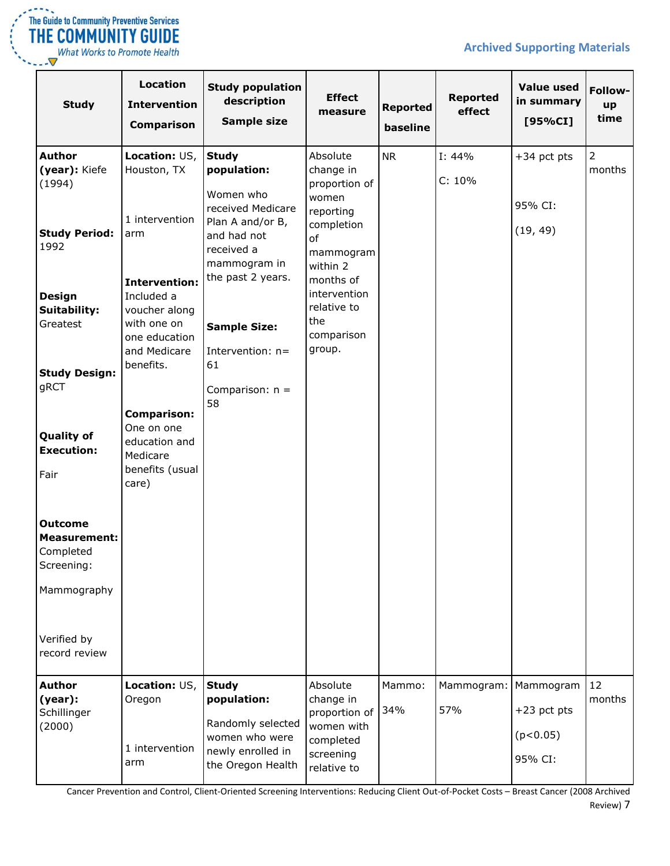

What Works to Promote Health  $\bigtriangledown$ 

### **Archived Supporting Materials**

| <b>Study</b>                                                             | <b>Location</b><br><b>Intervention</b><br><b>Comparison</b>                                                      | <b>Study population</b><br>description<br>Sample size                                                                          | <b>Effect</b><br>measure                                                                                  | <b>Reported</b><br>baseline | Reported<br>effect          | <b>Value used</b><br>in summary<br>[95%CI] | Follow-<br>up<br>time    |
|--------------------------------------------------------------------------|------------------------------------------------------------------------------------------------------------------|--------------------------------------------------------------------------------------------------------------------------------|-----------------------------------------------------------------------------------------------------------|-----------------------------|-----------------------------|--------------------------------------------|--------------------------|
| <b>Author</b><br>(year): Kiefe<br>(1994)<br><b>Study Period:</b><br>1992 | Location: US,<br>Houston, TX<br>1 intervention<br>arm                                                            | <b>Study</b><br>population:<br>Women who<br>received Medicare<br>Plan A and/or B,<br>and had not<br>received a<br>mammogram in | Absolute<br>change in<br>proportion of<br>women<br>reporting<br>completion<br>of<br>mammogram<br>within 2 | <b>NR</b>                   | I: 44%<br>C: 10%            | $+34$ pct pts<br>95% CI:<br>(19, 49)       | $\overline{2}$<br>months |
| <b>Design</b><br>Suitability:<br>Greatest                                | <b>Intervention:</b><br>Included a<br>voucher along<br>with one on<br>one education<br>and Medicare<br>benefits. | the past 2 years.<br><b>Sample Size:</b><br>Intervention: n=<br>61                                                             | months of<br>intervention<br>relative to<br>the<br>comparison<br>group.                                   |                             |                             |                                            |                          |
| <b>Study Design:</b><br>gRCT<br><b>Quality of</b><br><b>Execution:</b>   | <b>Comparison:</b><br>One on one<br>education and<br>Medicare                                                    | Comparison: $n =$<br>58                                                                                                        |                                                                                                           |                             |                             |                                            |                          |
| Fair<br><b>Outcome</b><br><b>Measurement:</b>                            | benefits (usual<br>care)                                                                                         |                                                                                                                                |                                                                                                           |                             |                             |                                            |                          |
| Completed<br>Screening:<br>Mammography                                   |                                                                                                                  |                                                                                                                                |                                                                                                           |                             |                             |                                            |                          |
| Verified by<br>record review                                             |                                                                                                                  |                                                                                                                                |                                                                                                           |                             |                             |                                            |                          |
| <b>Author</b><br>(year):<br>Schillinger<br>(2000)                        | Location: US,<br>Oregon<br>1 intervention<br>arm                                                                 | <b>Study</b><br>population:<br>Randomly selected<br>women who were<br>newly enrolled in<br>the Oregon Health                   | Absolute<br>change in<br>proportion of<br>women with<br>completed<br>screening<br>relative to             | Mammo:<br>34%               | Mammogram: Mammogram<br>57% | $+23$ pct pts<br>(p<0.05)<br>95% CI:       | 12<br>months             |

Cancer Prevention and Control, Client-Oriented Screening Interventions: Reducing Client Out-of-Pocket Costs – Breast Cancer (2008 Archived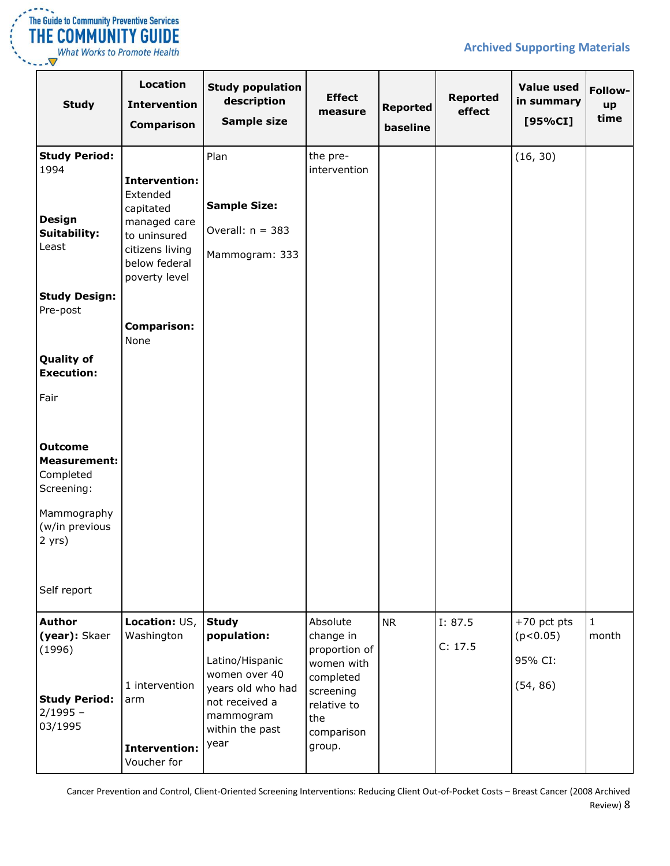

| <b>The Guide to Community Preventive Services</b><br><b>THE COMMUNITY GUIDE</b> |
|---------------------------------------------------------------------------------|
| <b>What Works to Promote Health</b>                                             |

| <b>Study</b>                                                                                                                                                                                                                                                                                 | Location<br><b>Intervention</b><br><b>Comparison</b>                                                                                                      | <b>Study population</b><br>description<br>Sample size                                                                                          | <b>Effect</b><br>measure                                                                                                     | <b>Reported</b><br>baseline | <b>Reported</b><br>effect | <b>Value used</b><br>in summary<br>[95%CI]       | Follow-<br>up<br>time |
|----------------------------------------------------------------------------------------------------------------------------------------------------------------------------------------------------------------------------------------------------------------------------------------------|-----------------------------------------------------------------------------------------------------------------------------------------------------------|------------------------------------------------------------------------------------------------------------------------------------------------|------------------------------------------------------------------------------------------------------------------------------|-----------------------------|---------------------------|--------------------------------------------------|-----------------------|
| <b>Study Period:</b><br>1994<br><b>Design</b><br>Suitability:<br>Least<br><b>Study Design:</b><br>Pre-post<br><b>Quality of</b><br><b>Execution:</b><br>Fair<br><b>Outcome</b><br><b>Measurement:</b><br>Completed<br>Screening:<br>Mammography<br>(w/in previous<br>$2$ yrs)<br>Self report | Intervention:<br>Extended<br>capitated<br>managed care<br>to uninsured<br>citizens living<br>below federal<br>poverty level<br><b>Comparison:</b><br>None | Plan<br><b>Sample Size:</b><br>Overall: $n = 383$<br>Mammogram: 333                                                                            | the pre-<br>intervention                                                                                                     |                             |                           | (16, 30)                                         |                       |
| <b>Author</b><br>(year): Skaer<br>(1996)<br><b>Study Period:</b><br>$2/1995 -$<br>03/1995                                                                                                                                                                                                    | Location: US,<br>Washington<br>1 intervention<br>arm<br>Intervention:<br>Voucher for                                                                      | <b>Study</b><br>population:<br>Latino/Hispanic<br>women over 40<br>years old who had<br>not received a<br>mammogram<br>within the past<br>year | Absolute<br>change in<br>proportion of<br>women with<br>completed<br>screening<br>relative to<br>the<br>comparison<br>group. | <b>NR</b>                   | I: 87.5<br>C: 17.5        | $+70$ pct pts<br>(p<0.05)<br>95% CI:<br>(54, 86) | $\mathbf{1}$<br>month |

Cancer Prevention and Control, Client-Oriented Screening Interventions: Reducing Client Out-of-Pocket Costs – Breast Cancer (2008 Archived Review) 8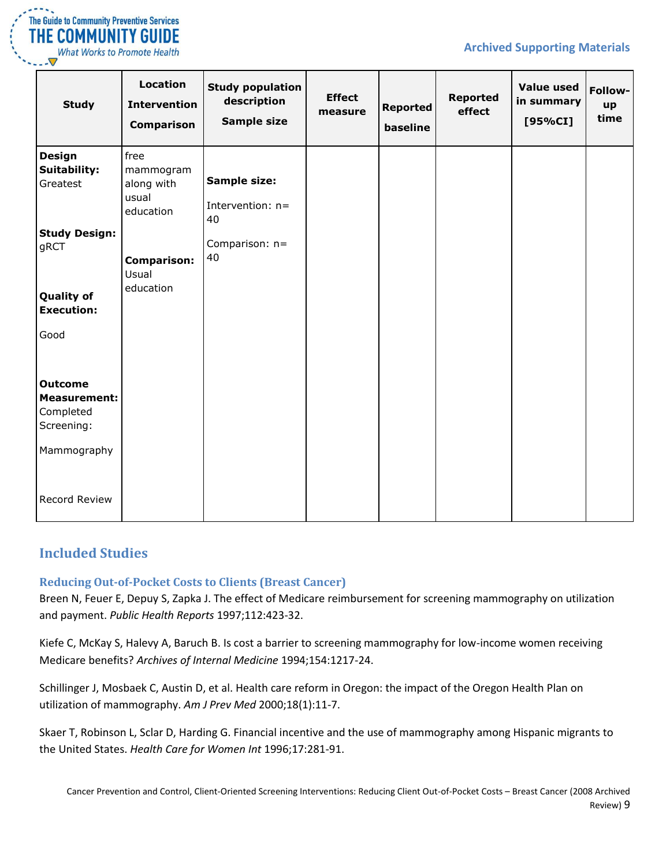

| <b>Study</b>                    | <b>Location</b><br><b>Intervention</b><br><b>Comparison</b> | <b>Study population</b><br>description<br><b>Sample size</b> | <b>Effect</b><br>measure | <b>Reported</b><br>baseline | <b>Reported</b><br>effect | <b>Value used</b><br>in summary<br>[95%CI] | Follow-<br>up<br>time |
|---------------------------------|-------------------------------------------------------------|--------------------------------------------------------------|--------------------------|-----------------------------|---------------------------|--------------------------------------------|-----------------------|
| <b>Design</b>                   | free                                                        |                                                              |                          |                             |                           |                                            |                       |
| <b>Suitability:</b><br>Greatest | mammogram<br>along with                                     | <b>Sample size:</b>                                          |                          |                             |                           |                                            |                       |
|                                 | usual<br>education                                          | Intervention: n=<br>40                                       |                          |                             |                           |                                            |                       |
| <b>Study Design:</b>            |                                                             |                                                              |                          |                             |                           |                                            |                       |
| gRCT                            |                                                             | Comparison: n=<br>40                                         |                          |                             |                           |                                            |                       |
|                                 | <b>Comparison:</b><br>Usual                                 |                                                              |                          |                             |                           |                                            |                       |
| <b>Quality of</b>               | education                                                   |                                                              |                          |                             |                           |                                            |                       |
| <b>Execution:</b>               |                                                             |                                                              |                          |                             |                           |                                            |                       |
| Good                            |                                                             |                                                              |                          |                             |                           |                                            |                       |
| <b>Outcome</b>                  |                                                             |                                                              |                          |                             |                           |                                            |                       |
| <b>Measurement:</b>             |                                                             |                                                              |                          |                             |                           |                                            |                       |
| Completed                       |                                                             |                                                              |                          |                             |                           |                                            |                       |
| Screening:                      |                                                             |                                                              |                          |                             |                           |                                            |                       |
| Mammography                     |                                                             |                                                              |                          |                             |                           |                                            |                       |
| Record Review                   |                                                             |                                                              |                          |                             |                           |                                            |                       |

### <span id="page-8-0"></span>**Included Studies**

#### <span id="page-8-1"></span>**Reducing Out-of-Pocket Costs to Clients (Breast Cancer)**

Breen N, Feuer E, Depuy S, Zapka J. The effect of Medicare reimbursement for screening mammography on utilization and payment. *Public Health Reports* 1997;112:423-32.

Kiefe C, McKay S, Halevy A, Baruch B. Is cost a barrier to screening mammography for low-income women receiving Medicare benefits? *Archives of Internal Medicine* 1994;154:1217-24.

Schillinger J, Mosbaek C, Austin D, et al. Health care reform in Oregon: the impact of the Oregon Health Plan on utilization of mammography. *Am J Prev Med* 2000;18(1):11-7.

Skaer T, Robinson L, Sclar D, Harding G. Financial incentive and the use of mammography among Hispanic migrants to the United States. *Health Care for Women Int* 1996;17:281-91.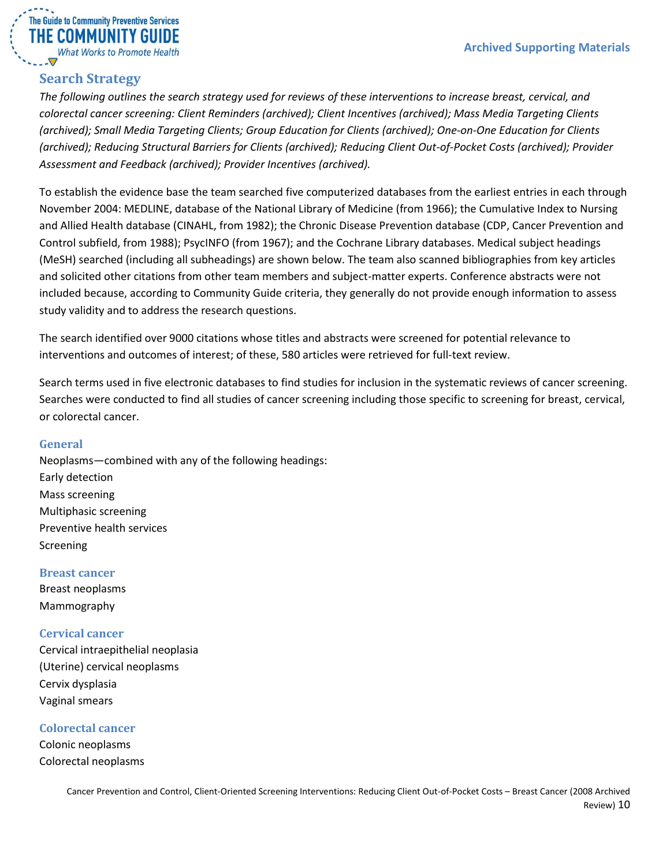

# <span id="page-9-0"></span>**Search Strategy**

*The following outlines the search strategy used for reviews of these interventions to increase breast, cervical, and colorectal cancer screening: Client Reminders (archived); Client Incentives (archived); Mass Media Targeting Clients (archived); Small Media Targeting Clients; Group Education for Clients (archived); One-on-One Education for Clients (archived); Reducing Structural Barriers for Clients (archived); Reducing Client Out-of-Pocket Costs (archived); Provider Assessment and Feedback (archived); Provider Incentives (archived).*

To establish the evidence base the team searched five computerized databases from the earliest entries in each through November 2004: MEDLINE, database of the National Library of Medicine (from 1966); the Cumulative Index to Nursing and Allied Health database (CINAHL, from 1982); the Chronic Disease Prevention database (CDP, Cancer Prevention and Control subfield, from 1988); PsycINFO (from 1967); and the Cochrane Library databases. Medical subject headings (MeSH) searched (including all subheadings) are shown below. The team also scanned bibliographies from key articles and solicited other citations from other team members and subject-matter experts. Conference abstracts were not included because, according to Community Guide criteria, they generally do not provide enough information to assess study validity and to address the research questions.

The search identified over 9000 citations whose titles and abstracts were screened for potential relevance to interventions and outcomes of interest; of these, 580 articles were retrieved for full-text review.

Search terms used in five electronic databases to find studies for inclusion in the systematic reviews of cancer screening. Searches were conducted to find all studies of cancer screening including those specific to screening for breast, cervical, or colorectal cancer.

#### <span id="page-9-1"></span>**General**

Neoplasms—combined with any of the following headings: Early detection Mass screening Multiphasic screening Preventive health services Screening

<span id="page-9-2"></span>**Breast cancer** Breast neoplasms Mammography

<span id="page-9-3"></span>**Cervical cancer** Cervical intraepithelial neoplasia (Uterine) cervical neoplasms Cervix dysplasia Vaginal smears

<span id="page-9-4"></span>**Colorectal cancer**

Colonic neoplasms Colorectal neoplasms